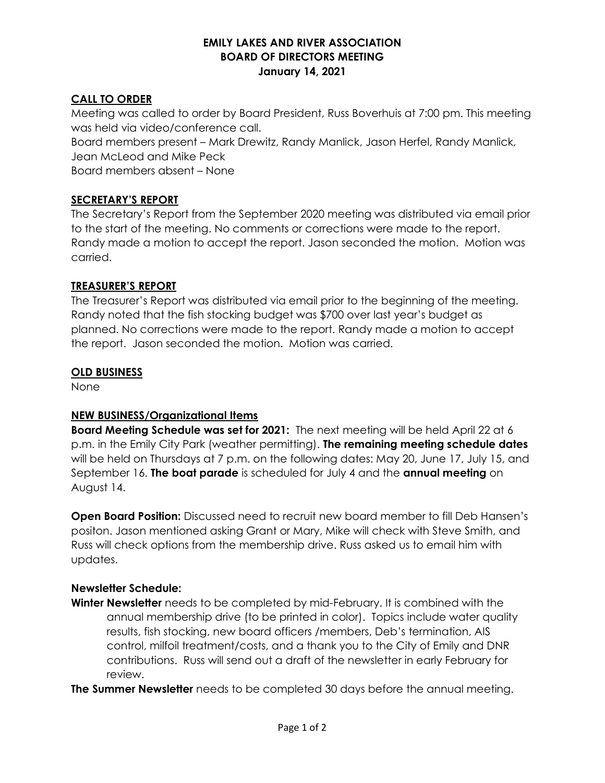### EMILY LAKES AND RIVER ASSOCIATION BOARD OF DIRECTORS MEETING January 14, 2021

# CALL TO ORDER

Meeting was called to order by Board President, Russ Boverhuis at 7:00 pm. This meeting was held via video/conference call.

Board members present – Mark Drewitz, Randy Manlick, Jason Herfel, Randy Manlick, Jean McLeod and Mike Peck

Board members absent – None

# SECRETARY'S REPORT

The Secretary's Report from the September 2020 meeting was distributed via email prior to the start of the meeting. No comments or corrections were made to the report. Randy made a motion to accept the report. Jason seconded the motion. Motion was carried.

### TREASURER'S REPORT

The Treasurer's Report was distributed via email prior to the beginning of the meeting. Randy noted that the fish stocking budget was \$700 over last year's budget as planned. No corrections were made to the report. Randy made a motion to accept the report. Jason seconded the motion. Motion was carried.

### OLD BUSINESS

None

# NEW BUSINESS/Organizational Items

Board Meeting Schedule was set for 2021: The next meeting will be held April 22 at 6 p.m. in the Emily City Park (weather permitting). The remaining meeting schedule dates will be held on Thursdays at 7 p.m. on the following dates: May 20, June 17, July 15, and September 16. The boat parade is scheduled for July 4 and the annual meeting on August 14.

Open Board Position: Discussed need to recruit new board member to fill Deb Hansen's positon. Jason mentioned asking Grant or Mary, Mike will check with Steve Smith, and Russ will check options from the membership drive. Russ asked us to email him with updates.

# Newsletter Schedule:

Winter Newsletter needs to be completed by mid-February. It is combined with the annual membership drive (to be printed in color). Topics include water quality results, fish stocking, new board officers /members, Deb's termination, AIS control, milfoil treatment/costs, and a thank you to the City of Emily and DNR contributions. Russ will send out a draft of the newsletter in early February for review.

**The Summer Newsletter** needs to be completed 30 days before the annual meeting.